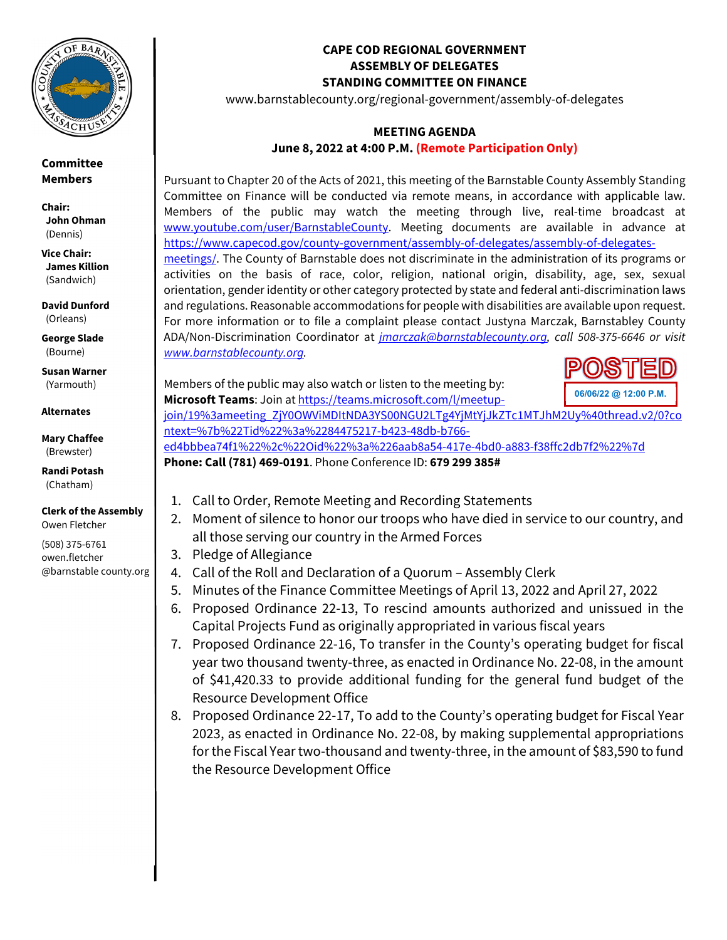

**Committee Members** 

**Chair: John Ohman** (Dennis)

**Vice Chair: James Killion** (Sandwich)

**David Dunford**  (Orleans)

**George Slade**  (Bourne)

**Susan Warner**  (Yarmouth)

**Alternates** 

**Mary Chaffee** (Brewster)

**Randi Potash**  (Chatham)

**Clerk of the Assembly**  Owen Fletcher

(508) 375-6761 owen.fletcher @barnstable county.org

## **CAPE COD REGIONAL GOVERNMENT ASSEMBLY OF DELEGATES STANDING COMMITTEE ON FINANCE**

www.barnstablecounty.org/regional-government/assembly-of-delegates

## **MEETING AGENDA June 8, 2022 at 4:00 P.M. (Remote Participation Only)**

Pursuant to Chapter 20 of the Acts of 2021, this meeting of the Barnstable County Assembly Standing Committee on Finance will be conducted via remote means, in accordance with applicable law. Members of the public may watch the meeting through live, real-time broadcast at www.youtube.com/user/BarnstableCounty. Meeting documents are available in advance at https://www.capecod.gov/county-government/assembly-of-delegates/assembly-of-delegatesmeetings/. The County of Barnstable does not discriminate in the administration of its programs or activities on the basis of race, color, religion, national origin, disability, age, sex, sexual orientation, gender identity or other category protected by state and federal anti-discrimination laws and regulations. Reasonable accommodations for people with disabilities are available upon request. For more information or to file a complaint please contact Justyna Marczak, Barnstabley County ADA/Non-Discrimination Coordinator at *jmarczak@barnstablecounty.org, call 508-375-6646 or visit www.barnstablecounty.org.*

Members of the public may also watch or listen to the meeting by:



**Microsoft Teams**: Join at https://teams.microsoft.com/l/meetupjoin/19%3ameeting\_ZjY0OWViMDItNDA3YS00NGU2LTg4YjMtYjJkZTc1MTJhM2Uy%40thread.v2/0?co ntext=%7b%22Tid%22%3a%2284475217-b423-48db-b766-

ed4bbbea74f1%22%2c%22Oid%22%3a%226aab8a54-417e-4bd0-a883-f38ffc2db7f2%22%7d

**Phone: Call (781) 469-0191**. Phone Conference ID: **679 299 385#**

- 1. Call to Order, Remote Meeting and Recording Statements
- 2. Moment of silence to honor our troops who have died in service to our country, and all those serving our country in the Armed Forces
- 3. Pledge of Allegiance
- 4. Call of the Roll and Declaration of a Quorum Assembly Clerk
- 5. Minutes of the Finance Committee Meetings of April 13, 2022 and April 27, 2022
- 6. Proposed Ordinance 22-13, To rescind amounts authorized and unissued in the Capital Projects Fund as originally appropriated in various fiscal years
- 7. Proposed Ordinance 22-16, To transfer in the County's operating budget for fiscal year two thousand twenty-three, as enacted in Ordinance No. 22-08, in the amount of \$41,420.33 to provide additional funding for the general fund budget of the Resource Development Office
- 8. Proposed Ordinance 22-17, To add to the County's operating budget for Fiscal Year 2023, as enacted in Ordinance No. 22-08, by making supplemental appropriations for the Fiscal Year two-thousand and twenty-three, in the amount of \$83,590 to fund the Resource Development Office